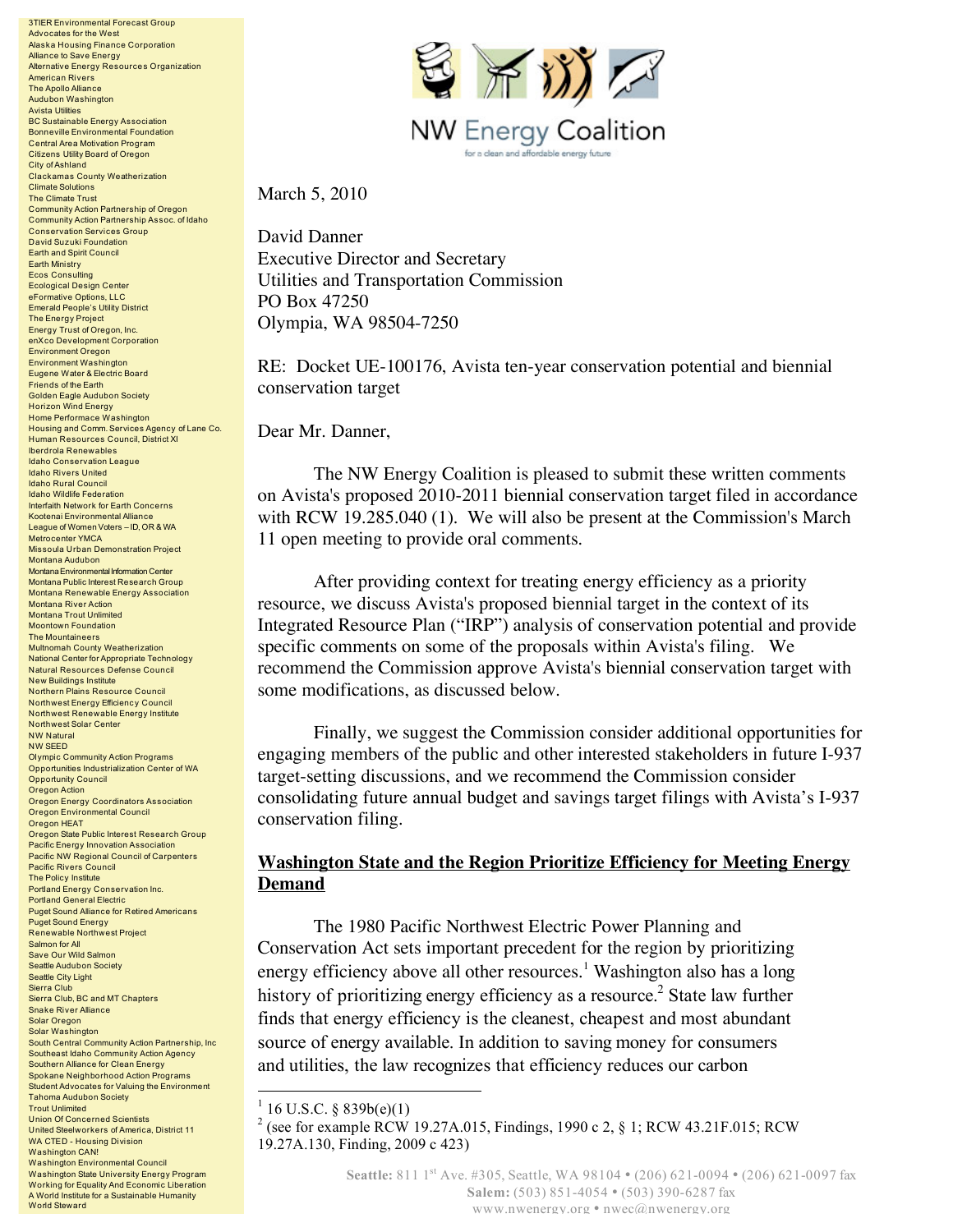3TIER Environmental Forecast Group Advocates for the West Alaska Housing Finance Corporation Alliance to Save Energy Alternative Energy Resources Organization American Rivers The Apollo Alliance Audubon Washington Avista Utilities BC Sustainable Energy Association Bonneville Environmental Foundation Central Area Motivation Program Citizens Utility Board of Oregon City of Ashland Clackamas County Weatherization Climate Solutions The Climate Trust Community Action Partnership of Oregon Community Action Partnership Assoc. of Idaho Conservation Services Group David Suzuki Foundation Earth and Spirit Council Earth Ministry Ecos Consulting Ecological Design Center eFormative Options, LLC Emerald People's Utility District The Energy Project Energy Trust of Oregon, Inc. enXco Development Corporation Environment Oregon Environment Washington Eugene Water & Electric Board Friends of the Earth Golden Eagle Audubon Society Horizon Wind Energy Home Performace Washington Housing and Comm. Services Agency of Lane Co. Human Resources Council, District XI Iberdrola Renewables Idaho Conservation League Idaho Rivers United Idaho Rural Council Idaho Wildlife Federation Interfaith Network for Earth Concerns Kootenai Environmental Alliance League of Women Voters – ID, OR & WA Metrocenter YMCA Missoula Urban Demonstration Project Montana Audubon Montana Environmental Information Center Montana Public Interest Research Group Montana Renewable Energy Association Montana River Action Montana Trout Unlimited Moontown Foundation The Mountaineers Multnomah County Weatherization National Center for Appropriate Technology Natural Resources Defense Council New Buildings Institute Northern Plains Resource Council Northwest Energy Efficiency Council Northwest Renewable Energy Institute Northwest Solar Center NW Natural NW SEED Olympic Community Action Programs Opportunities Industrialization Center of WA Opportunity Council Oregon Action Oregon Energy Coordinators Association Oregon Environmental Council Oregon HEAT Oregon State Public Interest Research Group Pacific Energy Innovation Association Pacific NW Regional Council of Carpenters Pacific Rivers Council The Policy Institute Portland Energy Conservation Inc. Portland General Electric Puget Sound Alliance for Retired Americans Puget Sound Energy Renewable Northwest Project Salmon for All Save Our Wild Salmon Seattle Audubon Society Seattle City Light Sierra Club Sierra Club, BC and MT Chapters Snake River Alliance Solar Oregon Solar Washington South Central Community Action Partnership, Inc Southeast Idaho Community Action Agency Southern Alliance for Clean Energy Spokane Neighborhood Action Programs Student Advocates for Valuing the Environment Tahoma Audubon Society Trout Unlimited Union Of Concerned Scientists United Steelworkers of America, District 11 WA CTED - Housing Division Washington CAN! Washington Environmental Council Washington State University Energy Program Working for Equality And Economic Liberation A World Institute for a Sustainable Humanity

World Steward



March 5, 2010

David Danner Executive Director and Secretary Utilities and Transportation Commission PO Box 47250 Olympia, WA 98504-7250

RE: Docket UE-100176, Avista ten-year conservation potential and biennial conservation target

Dear Mr. Danner,

The NW Energy Coalition is pleased to submit these written comments on Avista's proposed 2010-2011 biennial conservation target filed in accordance with RCW 19.285.040 (1). We will also be present at the Commission's March 11 open meeting to provide oral comments.

After providing context for treating energy efficiency as a priority resource, we discuss Avista's proposed biennial target in the context of its Integrated Resource Plan ("IRP") analysis of conservation potential and provide specific comments on some of the proposals within Avista's filing. We recommend the Commission approve Avista's biennial conservation target with some modifications, as discussed below.

Finally, we suggest the Commission consider additional opportunities for engaging members of the public and other interested stakeholders in future I-937 target-setting discussions, and we recommend the Commission consider consolidating future annual budget and savings target filings with Avista's I-937 conservation filing.

## **Washington State and the Region Prioritize Efficiency for Meeting Energy Demand**

The 1980 Pacific Northwest Electric Power Planning and Conservation Act sets important precedent for the region by prioritizing energy efficiency above all other resources.<sup>1</sup> Washington also has a long history of prioritizing energy efficiency as a resource. <sup>2</sup> State law further finds that energy efficiency is the cleanest, cheapest and most abundant source of energy available. In addition to saving money for consumers and utilities, the law recognizes that efficiency reduces our carbon

<sup>&</sup>lt;sup>1</sup> 16 U.S.C. § 839b(e)(1)<br><sup>2</sup> (see for example RCW 19.27A.015, Findings, 1990 c 2, § 1; RCW 43.21F.015; RCW 19.27A.130, Finding, 2009 c 423)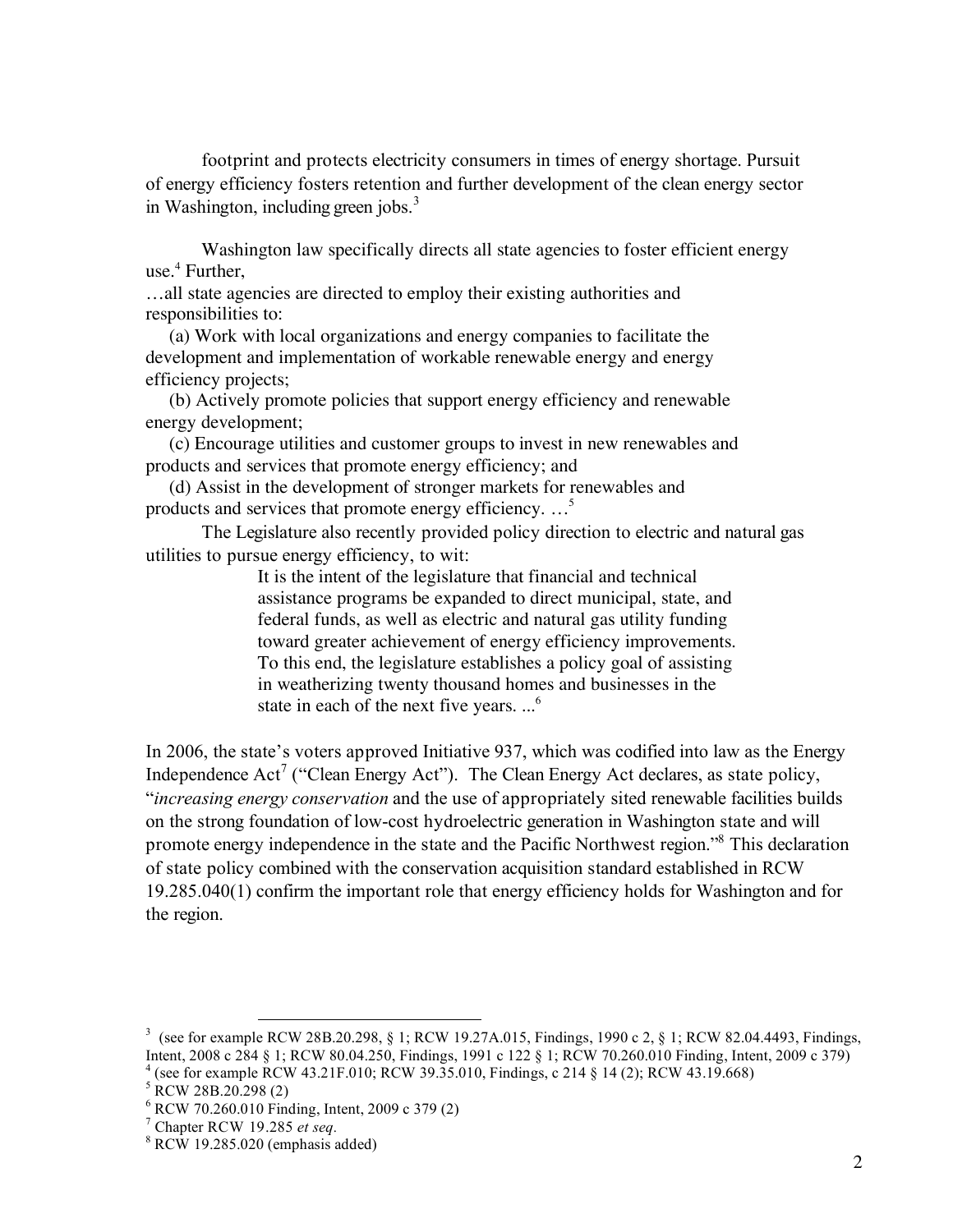footprint and protects electricity consumers in times of energy shortage. Pursuit of energy efficiency fosters retention and further development of the clean energy sector in Washington, including green jobs. 3

Washington law specifically directs all state agencies to foster efficient energy use. <sup>4</sup> Further,

…all state agencies are directed to employ their existing authorities and responsibilities to:

(a) Work with local organizations and energy companies to facilitate the development and implementation of workable renewable energy and energy efficiency projects;

(b) Actively promote policies that support energy efficiency and renewable energy development;

(c) Encourage utilities and customer groups to invest in new renewables and products and services that promote energy efficiency; and

(d) Assist in the development of stronger markets for renewables and products and services that promote energy efficiency. …5

The Legislature also recently provided policy direction to electric and natural gas utilities to pursue energy efficiency, to wit:

> It is the intent of the legislature that financial and technical assistance programs be expanded to direct municipal, state, and federal funds, as well as electric and natural gas utility funding toward greater achievement of energy efficiency improvements. To this end, the legislature establishes a policy goal of assisting in weatherizing twenty thousand homes and businesses in the state in each of the next five years. ...<sup>6</sup>

In 2006, the state's voters approved Initiative 937, which was codified into law as the Energy Independence  $Act^7$  ("Clean Energy Act"). The Clean Energy Act declares, as state policy, "*increasing energy conservation* and the use of appropriately sited renewable facilities builds on the strong foundation of low-cost hydroelectric generation in Washington state and will promote energy independence in the state and the Pacific Northwest region.<sup>38</sup> This declaration of state policy combined with the conservation acquisition standard established in RCW 19.285.040(1) confirm the important role that energy efficiency holds for Washington and for the region.

<sup>&</sup>lt;sup>3</sup> (see for example RCW 28B.20.298, § 1; RCW 19.27A.015, Findings, 1990 c 2, § 1; RCW 82.04.4493, Findings, Intent, 2008 c 284 § 1; RCW 80.04.250, Findings, 1991 c 122 § 1; RCW 70.260.010 Finding, Intent, 2009 c 379) <sup>4</sup> (see for example RCW 43.21F.010; RCW 39.35.010, Findings, c 214 § 14 (2); RCW 43.19.668)<br>
<sup>5</sup> RCW 28B.20.298 (2)<br>
<sup>6</sup> RCW 70.260.010 Finding, Intent, 2009 c 379 (2)<br>
<sup>7</sup> Chapter RCW 19.285 *et seq.*<br>
<sup>8</sup> RCW 19.285.02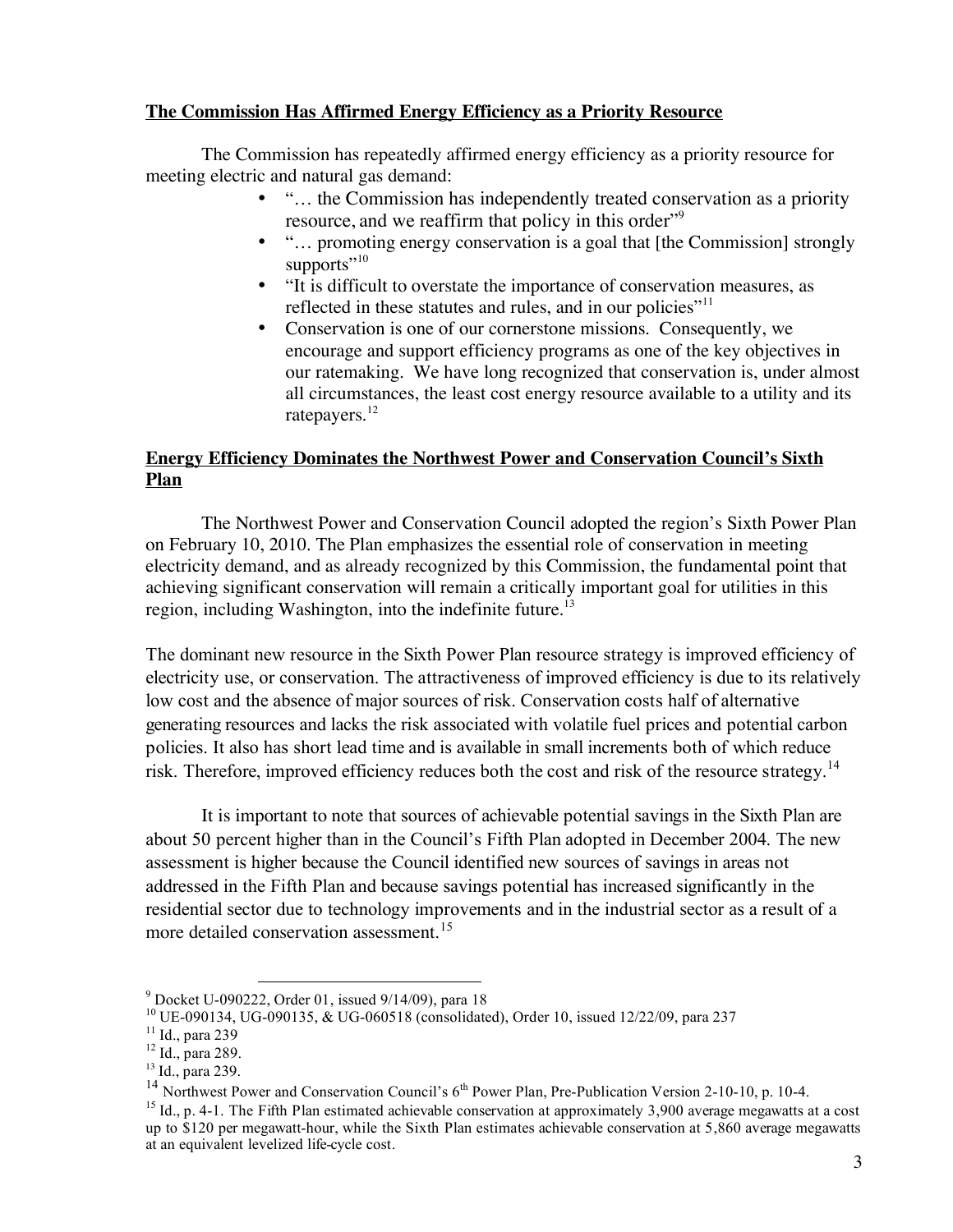# **The Commission Has Affirmed Energy Efficiency as a Priority Resource**

The Commission has repeatedly affirmed energy efficiency as a priority resource for meeting electric and natural gas demand:

- "... the Commission has independently treated conservation as a priority resource, and we reaffirm that policy in this order<sup>"9</sup>
- "... promoting energy conservation is a goal that [the Commission] strongly supports" $10$
- "It is difficult to overstate the importance of conservation measures, as reflected in these statutes and rules, and in our policies"<sup>11</sup>
- Conservation is one of our cornerstone missions. Consequently, we encourage and support efficiency programs as one of the key objectives in our ratemaking. We have long recognized that conservation is, under almost all circumstances, the least cost energy resource available to a utility and its ratepayers.<sup>12</sup>

# **Energy Efficiency Dominates the Northwest Power and Conservation Council's Sixth Plan**

The Northwest Power and Conservation Council adopted the region's Sixth Power Plan on February 10, 2010. The Plan emphasizes the essential role of conservation in meeting electricity demand, and as already recognized by this Commission, the fundamental point that achieving significant conservation will remain a critically important goal for utilities in this region, including Washington, into the indefinite future.<sup>13</sup>

The dominant new resource in the Sixth Power Plan resource strategy is improved efficiency of electricity use, or conservation. The attractiveness of improved efficiency is due to its relatively low cost and the absence of major sources of risk. Conservation costs half of alternative generating resources and lacks the risk associated with volatile fuel prices and potential carbon policies. It also has short lead time and is available in small increments both of which reduce risk. Therefore, improved efficiency reduces both the cost and risk of the resource strategy.<sup>14</sup>

It is important to note that sources of achievable potential savings in the Sixth Plan are about 50 percent higher than in the Council's Fifth Plan adopted in December 2004. The new assessment is higher because the Council identified new sources of savings in areas not addressed in the Fifth Plan and because savings potential has increased significantly in the residential sector due to technology improvements and in the industrial sector as a result of a more detailed conservation assessment. 15

<sup>&</sup>lt;sup>9</sup> Docket U-090222, Order 01, issued 9/14/09), para 18<br><sup>10</sup> UE-090134, UG-090135, & UG-060518 (consolidated), Order 10, issued 12/22/09, para 237<br><sup>11</sup> Id., para 239<br><sup>12</sup> Id., para 289.<br><sup>13</sup> Id., para 239.

<sup>&</sup>lt;sup>14</sup> Northwest Power and Conservation Council's  $6^{th}$  Power Plan, Pre-Publication Version 2-10-10, p. 10-4.

<sup>&</sup>lt;sup>15</sup> Id., p. 4-1. The Fifth Plan estimated achievable conservation at approximately 3,900 average megawatts at a cost up to \$120 per megawatt-hour, while the Sixth Plan estimates achievable conservation at 5,860 average megawatts at an equivalent levelized life-cycle cost.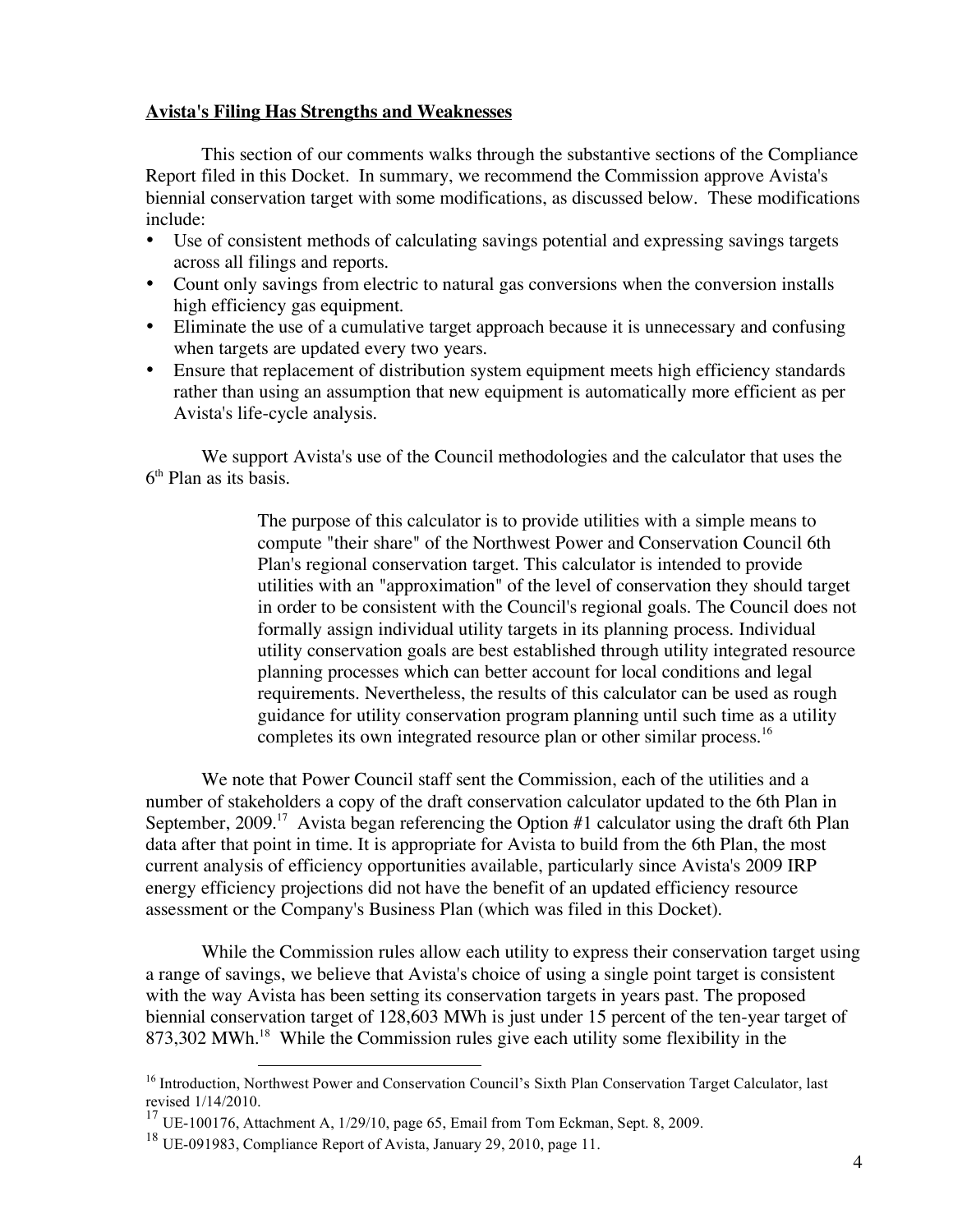#### **Avista's Filing Has Strengths and Weaknesses**

This section of our comments walks through the substantive sections of the Compliance Report filed in this Docket. In summary, we recommend the Commission approve Avista's biennial conservation target with some modifications, as discussed below. These modifications include:

- Use of consistent methods of calculating savings potential and expressing savings targets across all filings and reports.
- Count only savings from electric to natural gas conversions when the conversion installs high efficiency gas equipment.
- Eliminate the use of a cumulative target approach because it is unnecessary and confusing when targets are updated every two years.
- Ensure that replacement of distribution system equipment meets high efficiency standards rather than using an assumption that new equipment is automatically more efficient as per Avista's life-cycle analysis.

We support Avista's use of the Council methodologies and the calculator that uses the  $6<sup>th</sup>$  Plan as its basis.

> The purpose of this calculator is to provide utilities with a simple means to compute "their share" of the Northwest Power and Conservation Council 6th Plan's regional conservation target. This calculator is intended to provide utilities with an "approximation" of the level of conservation they should target in order to be consistent with the Council's regional goals. The Council does not formally assign individual utility targets in its planning process. Individual utility conservation goals are best established through utility integrated resource planning processes which can better account for local conditions and legal requirements. Nevertheless, the results of this calculator can be used as rough guidance for utility conservation program planning until such time as a utility completes its own integrated resource plan or other similar process.<sup>16</sup>

We note that Power Council staff sent the Commission, each of the utilities and a number of stakeholders a copy of the draft conservation calculator updated to the 6th Plan in September, 2009.<sup>17</sup> Avista began referencing the Option #1 calculator using the draft 6th Plan data after that point in time. It is appropriate for Avista to build from the 6th Plan, the most current analysis of efficiency opportunities available, particularly since Avista's 2009 IRP energy efficiency projections did not have the benefit of an updated efficiency resource assessment or the Company's Business Plan (which was filed in this Docket).

While the Commission rules allow each utility to express their conservation target using a range of savings, we believe that Avista's choice of using a single point target is consistent with the way Avista has been setting its conservation targets in years past. The proposed biennial conservation target of 128,603 MWh is just under 15 percent of the ten-year target of  $873,302$  MWh.<sup>18</sup> While the Commission rules give each utility some flexibility in the

<sup>&</sup>lt;sup>16</sup> Introduction, Northwest Power and Conservation Council's Sixth Plan Conservation Target Calculator, last revised 1/14/2010. <sup>17</sup> UE-100176, Attachment A, 1/29/10, page 65, Email from Tom Eckman, Sept. 8, 2009.

<sup>18</sup> UE-091983, Compliance Report of Avista, January 29, 2010, page 11.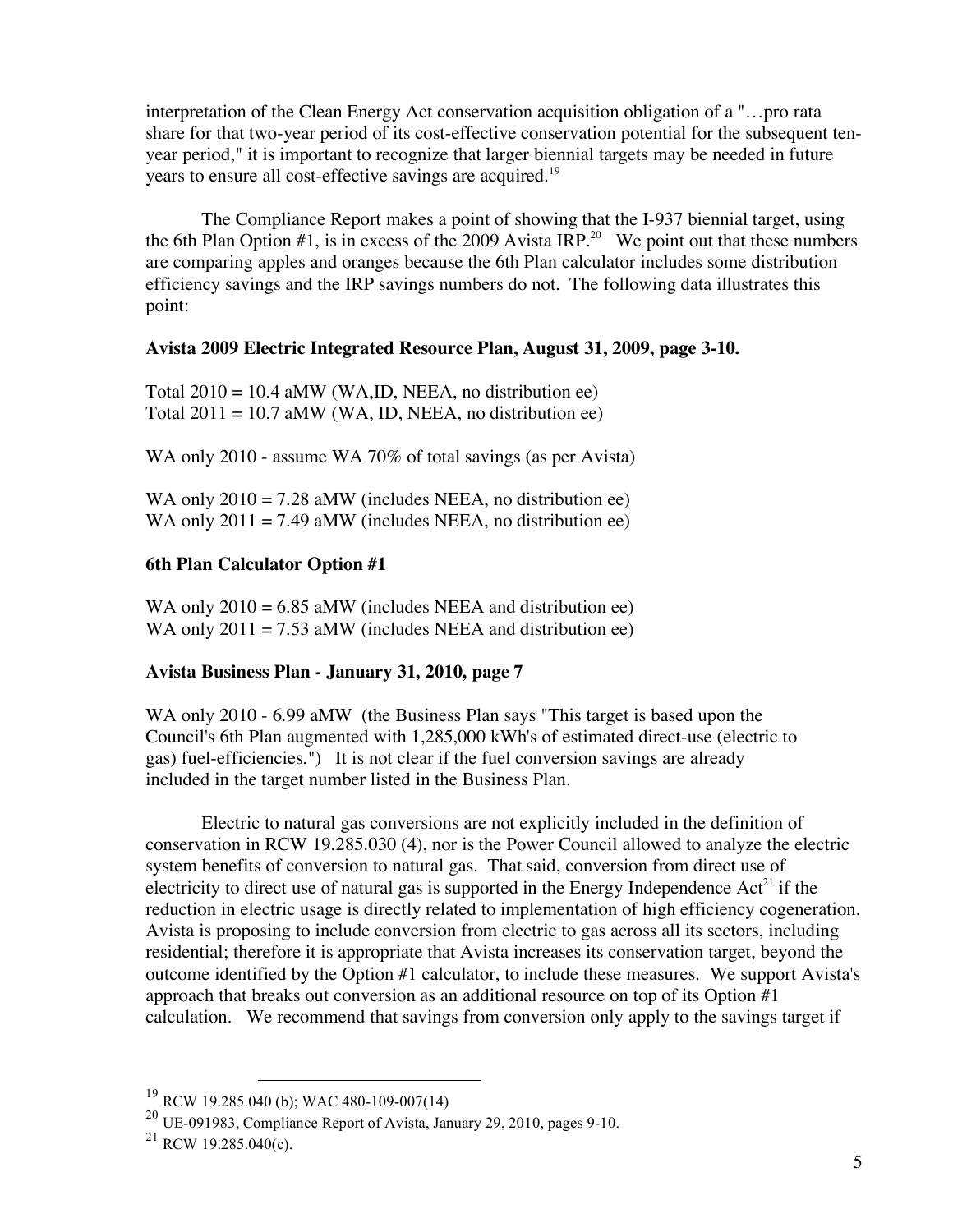interpretation of the Clean Energy Act conservation acquisition obligation of a "…pro rata share for that two-year period of its cost-effective conservation potential for the subsequent tenyear period," it is important to recognize that larger biennial targets may be needed in future years to ensure all cost-effective savings are acquired.<sup>19</sup>

The Compliance Report makes a point of showing that the I-937 biennial target, using the 6th Plan Option  $#1$ , is in excess of the 2009 Avista IRP.<sup>20</sup> We point out that these numbers are comparing apples and oranges because the 6th Plan calculator includes some distribution efficiency savings and the IRP savings numbers do not. The following data illustrates this point:

#### **Avista 2009 Electric Integrated Resource Plan, August 31, 2009, page 3-10.**

Total  $2010 = 10.4$  aMW (WA,ID, NEEA, no distribution ee) Total  $2011 = 10.7$  aMW (WA, ID, NEEA, no distribution ee)

WA only 2010 - assume WA 70% of total savings (as per Avista)

WA only  $2010 = 7.28$  aMW (includes NEEA, no distribution ee) WA only  $2011 = 7.49$  aMW (includes NEEA, no distribution ee)

## **6th Plan Calculator Option #1**

WA only  $2010 = 6.85$  aMW (includes NEEA and distribution ee) WA only  $2011 = 7.53$  aMW (includes NEEA and distribution ee)

## **Avista Business Plan - January 31, 2010, page 7**

WA only 2010 - 6.99 aMW (the Business Plan says "This target is based upon the Council's 6th Plan augmented with 1,285,000 kWh's of estimated direct-use (electric to gas) fuel-efficiencies.") It is not clear if the fuel conversion savings are already included in the target number listed in the Business Plan.

Electric to natural gas conversions are not explicitly included in the definition of conservation in RCW 19.285.030 (4), nor is the Power Council allowed to analyze the electric system benefits of conversion to natural gas. That said, conversion from direct use of electricity to direct use of natural gas is supported in the Energy Independence  $Act^{21}$  if the reduction in electric usage is directly related to implementation of high efficiency cogeneration. Avista is proposing to include conversion from electric to gas across all its sectors, including residential; therefore it is appropriate that Avista increases its conservation target, beyond the outcome identified by the Option #1 calculator, to include these measures. We support Avista's approach that breaks out conversion as an additional resource on top of its Option #1 calculation. We recommend that savings from conversion only apply to the savings target if

<sup>19</sup> RCW 19.285.040 (b); WAC 480-109-007(14)

<sup>20</sup> UE-091983, Compliance Report of Avista, January 29, 2010, pages 9-10.

 $^{21}$  RCW 19.285.040(c).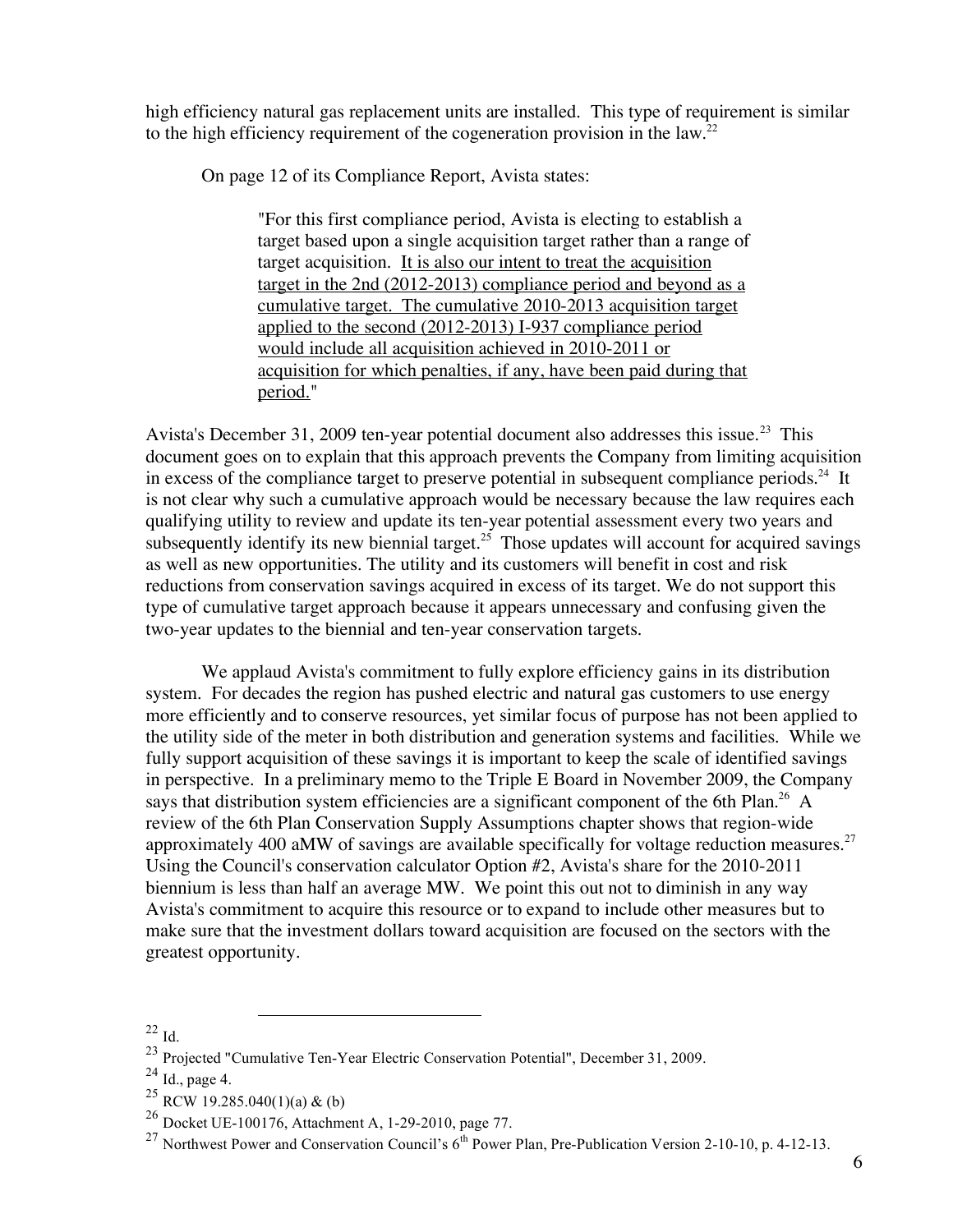high efficiency natural gas replacement units are installed. This type of requirement is similar to the high efficiency requirement of the cogeneration provision in the law.<sup>22</sup>

On page 12 of its Compliance Report, Avista states:

"For this first compliance period, Avista is electing to establish a target based upon a single acquisition target rather than a range of target acquisition. It is also our intent to treat the acquisition target in the 2nd (2012-2013) compliance period and beyond as a cumulative target. The cumulative 2010-2013 acquisition target applied to the second (2012-2013) I-937 compliance period would include all acquisition achieved in 2010-2011 or acquisition for which penalties, if any, have been paid during that period."

Avista's December 31, 2009 ten-year potential document also addresses this issue.<sup>23</sup> This document goes on to explain that this approach prevents the Company from limiting acquisition in excess of the compliance target to preserve potential in subsequent compliance periods.<sup>24</sup> It is not clear why such a cumulative approach would be necessary because the law requires each qualifying utility to review and update its ten-year potential assessment every two years and subsequently identify its new biennial target.<sup>25</sup> Those updates will account for acquired savings as well as new opportunities. The utility and its customers will benefit in cost and risk reductions from conservation savings acquired in excess of its target. We do not support this type of cumulative target approach because it appears unnecessary and confusing given the two-year updates to the biennial and ten-year conservation targets.

We applaud Avista's commitment to fully explore efficiency gains in its distribution system. For decades the region has pushed electric and natural gas customers to use energy more efficiently and to conserve resources, yet similar focus of purpose has not been applied to the utility side of the meter in both distribution and generation systems and facilities. While we fully support acquisition of these savings it is important to keep the scale of identified savings in perspective. In a preliminary memo to the Triple E Board in November 2009, the Company says that distribution system efficiencies are a significant component of the 6th Plan.<sup>26</sup> A review of the 6th Plan Conservation Supply Assumptions chapter shows that region-wide approximately 400 aMW of savings are available specifically for voltage reduction measures.<sup>27</sup> Using the Council's conservation calculator Option #2, Avista's share for the 2010-2011 biennium is less than half an average MW. We point this out not to diminish in any way Avista's commitment to acquire this resource or to expand to include other measures but to make sure that the investment dollars toward acquisition are focused on the sectors with the greatest opportunity.

<sup>22</sup> Id.

<sup>23</sup> Projected "Cumulative Ten-Year Electric Conservation Potential", December 31, 2009. <sup>24</sup> Id., page 4.

<sup>&</sup>lt;sup>25</sup> RCW 19.285.040(1)(a) & (b)

<sup>26</sup> Docket UE-100176, Attachment A, 1-29-2010, page 77.

<sup>&</sup>lt;sup>27</sup> Northwest Power and Conservation Council's  $6^{th}$  Power Plan, Pre-Publication Version 2-10-10, p. 4-12-13.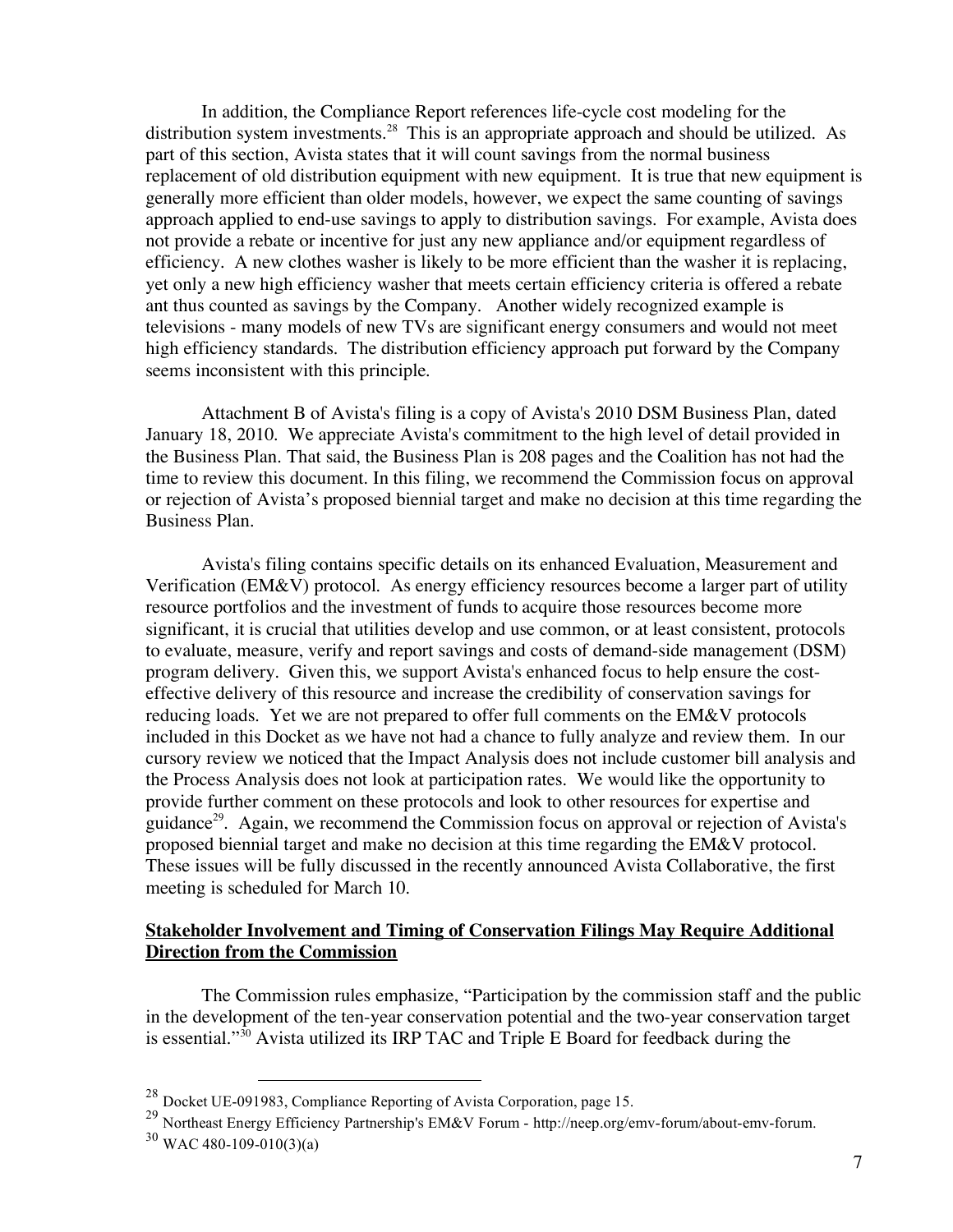In addition, the Compliance Report references life-cycle cost modeling for the distribution system investments.<sup>28</sup> This is an appropriate approach and should be utilized. As part of this section, Avista states that it will count savings from the normal business replacement of old distribution equipment with new equipment. It is true that new equipment is generally more efficient than older models, however, we expect the same counting of savings approach applied to end-use savings to apply to distribution savings. For example, Avista does not provide a rebate or incentive for just any new appliance and/or equipment regardless of efficiency. A new clothes washer is likely to be more efficient than the washer it is replacing, yet only a new high efficiency washer that meets certain efficiency criteria is offered a rebate ant thus counted as savings by the Company. Another widely recognized example is televisions - many models of new TVs are significant energy consumers and would not meet high efficiency standards. The distribution efficiency approach put forward by the Company seems inconsistent with this principle.

Attachment B of Avista's filing is a copy of Avista's 2010 DSM Business Plan, dated January 18, 2010. We appreciate Avista's commitment to the high level of detail provided in the Business Plan. That said, the Business Plan is 208 pages and the Coalition has not had the time to review this document. In this filing, we recommend the Commission focus on approval or rejection of Avista's proposed biennial target and make no decision at this time regarding the Business Plan.

Avista's filing contains specific details on its enhanced Evaluation, Measurement and Verification (EM&V) protocol. As energy efficiency resources become a larger part of utility resource portfolios and the investment of funds to acquire those resources become more significant, it is crucial that utilities develop and use common, or at least consistent, protocols to evaluate, measure, verify and report savings and costs of demand-side management (DSM) program delivery. Given this, we support Avista's enhanced focus to help ensure the costeffective delivery of this resource and increase the credibility of conservation savings for reducing loads. Yet we are not prepared to offer full comments on the EM&V protocols included in this Docket as we have not had a chance to fully analyze and review them. In our cursory review we noticed that the Impact Analysis does not include customer bill analysis and the Process Analysis does not look at participation rates. We would like the opportunity to provide further comment on these protocols and look to other resources for expertise and guidance<sup>29</sup>. Again, we recommend the Commission focus on approval or rejection of Avista's proposed biennial target and make no decision at this time regarding the EM&V protocol. These issues will be fully discussed in the recently announced Avista Collaborative, the first meeting is scheduled for March 10.

### **Stakeholder Involvement and Timing of Conservation Filings May Require Additional Direction from the Commission**

The Commission rules emphasize, "Participation by the commission staff and the public in the development of the ten-year conservation potential and the two-year conservation target is essential."<sup>30</sup> Avista utilized its IRP TAC and Triple E Board for feedback during the

<sup>&</sup>lt;sup>28</sup> Docket UE-091983, Compliance Reporting of Avista Corporation, page 15.<br><sup>29</sup> Northeast Energy Efficiency Partnership's EM&V Forum - http://neep.org/emv-forum/about-emv-forum. <sup>30</sup> WAC 480-109-010(3)(a)